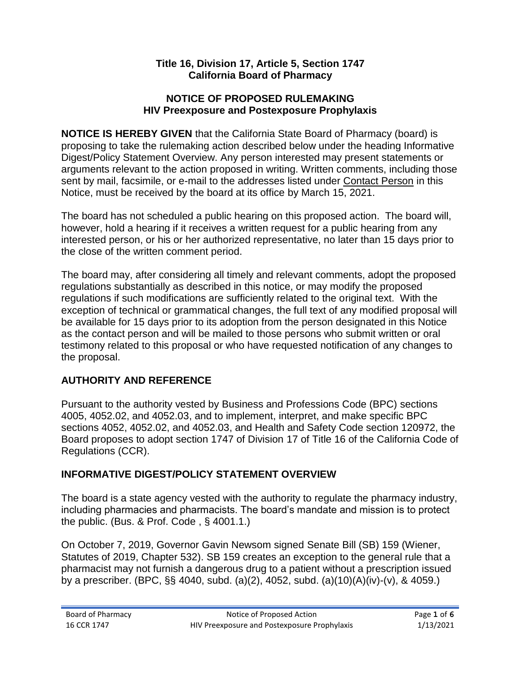#### **Title 16, Division 17, Article 5, Section 1747 California Board of Pharmacy**

#### **NOTICE OF PROPOSED RULEMAKING HIV Preexposure and Postexposure Prophylaxis**

**NOTICE IS HEREBY GIVEN** that the California State Board of Pharmacy (board) is proposing to take the rulemaking action described below under the heading Informative Digest/Policy Statement Overview. Any person interested may present statements or arguments relevant to the action proposed in writing. Written comments, including those sent by mail, facsimile, or e-mail to the addresses listed under Contact Person in this Notice, must be received by the board at its office by March 15, 2021.

The board has not scheduled a public hearing on this proposed action. The board will, however, hold a hearing if it receives a written request for a public hearing from any interested person, or his or her authorized representative, no later than 15 days prior to the close of the written comment period.

The board may, after considering all timely and relevant comments, adopt the proposed regulations substantially as described in this notice, or may modify the proposed regulations if such modifications are sufficiently related to the original text. With the exception of technical or grammatical changes, the full text of any modified proposal will be available for 15 days prior to its adoption from the person designated in this Notice as the contact person and will be mailed to those persons who submit written or oral testimony related to this proposal or who have requested notification of any changes to the proposal.

## **AUTHORITY AND REFERENCE**

Pursuant to the authority vested by Business and Professions Code (BPC) sections 4005, 4052.02, and 4052.03, and to implement, interpret, and make specific BPC sections 4052, 4052.02, and 4052.03, and Health and Safety Code section 120972, the Board proposes to adopt section 1747 of Division 17 of Title 16 of the California Code of Regulations (CCR).

## **INFORMATIVE DIGEST/POLICY STATEMENT OVERVIEW**

The board is a state agency vested with the authority to regulate the pharmacy industry, including pharmacies and pharmacists. The board's mandate and mission is to protect the public. (Bus. & Prof. Code , § 4001.1.)

On October 7, 2019, Governor Gavin Newsom signed Senate Bill (SB) 159 (Wiener, Statutes of 2019, Chapter 532). SB 159 creates an exception to the general rule that a pharmacist may not furnish a dangerous drug to a patient without a prescription issued by a prescriber. (BPC, §§ 4040, subd. (a)(2), 4052, subd. (a)(10)(A)(iv)-(v), & 4059.)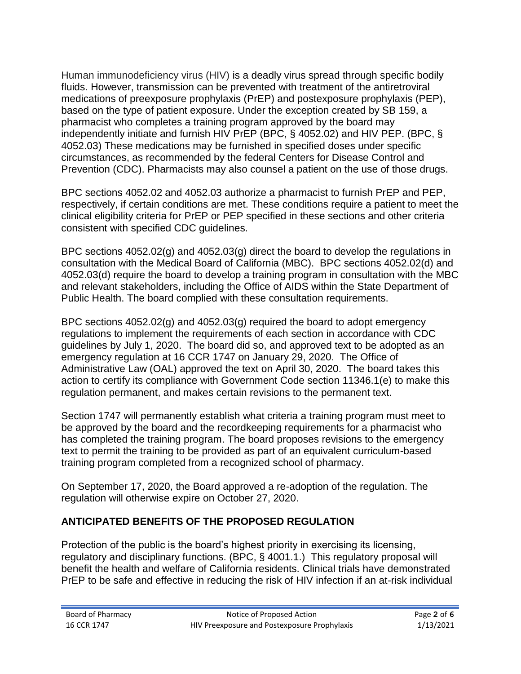Human immunodeficiency virus (HIV) is a deadly virus spread through specific bodily fluids. However, transmission can be prevented with treatment of the antiretroviral medications of preexposure prophylaxis (PrEP) and postexposure prophylaxis (PEP), based on the type of patient exposure. Under the exception created by SB 159, a pharmacist who completes a training program approved by the board may independently initiate and furnish HIV PrEP (BPC, § 4052.02) and HIV PEP. (BPC, § 4052.03) These medications may be furnished in specified doses under specific circumstances, as recommended by the federal Centers for Disease Control and Prevention (CDC). Pharmacists may also counsel a patient on the use of those drugs.

BPC sections 4052.02 and 4052.03 authorize a pharmacist to furnish PrEP and PEP, respectively, if certain conditions are met. These conditions require a patient to meet the clinical eligibility criteria for PrEP or PEP specified in these sections and other criteria consistent with specified CDC guidelines.

BPC sections 4052.02(g) and 4052.03(g) direct the board to develop the regulations in consultation with the Medical Board of California (MBC). BPC sections 4052.02(d) and 4052.03(d) require the board to develop a training program in consultation with the MBC and relevant stakeholders, including the Office of AIDS within the State Department of Public Health. The board complied with these consultation requirements.

BPC sections 4052.02(g) and 4052.03(g) required the board to adopt emergency regulations to implement the requirements of each section in accordance with CDC guidelines by July 1, 2020. The board did so, and approved text to be adopted as an emergency regulation at 16 CCR 1747 on January 29, 2020. The Office of Administrative Law (OAL) approved the text on April 30, 2020. The board takes this action to certify its compliance with Government Code section 11346.1(e) to make this regulation permanent, and makes certain revisions to the permanent text.

Section 1747 will permanently establish what criteria a training program must meet to be approved by the board and the recordkeeping requirements for a pharmacist who has completed the training program. The board proposes revisions to the emergency text to permit the training to be provided as part of an equivalent curriculum-based training program completed from a recognized school of pharmacy.

On September 17, 2020, the Board approved a re-adoption of the regulation. The regulation will otherwise expire on October 27, 2020.

# **ANTICIPATED BENEFITS OF THE PROPOSED REGULATION**

Protection of the public is the board's highest priority in exercising its licensing, regulatory and disciplinary functions. (BPC, § 4001.1.) This regulatory proposal will benefit the health and welfare of California residents. Clinical trials have demonstrated PrEP to be safe and effective in reducing the risk of HIV infection if an at-risk individual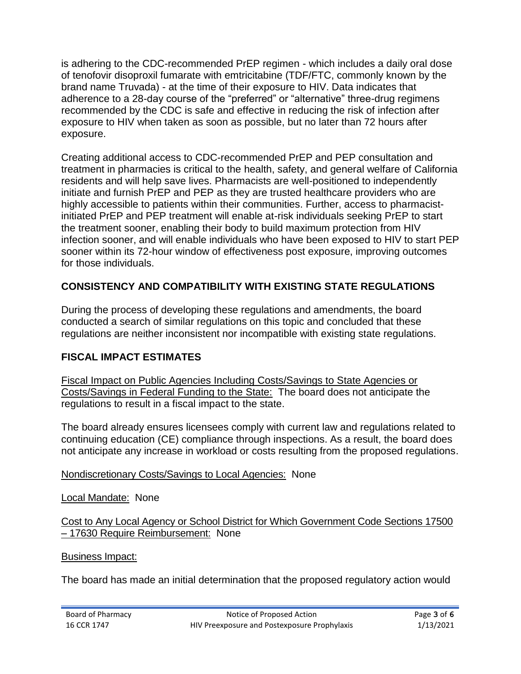is adhering to the CDC-recommended PrEP regimen - which includes a daily oral dose of tenofovir disoproxil fumarate with emtricitabine (TDF/FTC, commonly known by the brand name Truvada) - at the time of their exposure to HIV. Data indicates that adherence to a 28-day course of the "preferred" or "alternative" three-drug regimens recommended by the CDC is safe and effective in reducing the risk of infection after exposure to HIV when taken as soon as possible, but no later than 72 hours after exposure.

Creating additional access to CDC-recommended PrEP and PEP consultation and treatment in pharmacies is critical to the health, safety, and general welfare of California residents and will help save lives. Pharmacists are well-positioned to independently initiate and furnish PrEP and PEP as they are trusted healthcare providers who are highly accessible to patients within their communities. Further, access to pharmacistinitiated PrEP and PEP treatment will enable at-risk individuals seeking PrEP to start the treatment sooner, enabling their body to build maximum protection from HIV infection sooner, and will enable individuals who have been exposed to HIV to start PEP sooner within its 72-hour window of effectiveness post exposure, improving outcomes for those individuals.

## **CONSISTENCY AND COMPATIBILITY WITH EXISTING STATE REGULATIONS**

During the process of developing these regulations and amendments, the board conducted a search of similar regulations on this topic and concluded that these regulations are neither inconsistent nor incompatible with existing state regulations.

## **FISCAL IMPACT ESTIMATES**

Fiscal Impact on Public Agencies Including Costs/Savings to State Agencies or Costs/Savings in Federal Funding to the State: The board does not anticipate the regulations to result in a fiscal impact to the state.

The board already ensures licensees comply with current law and regulations related to continuing education (CE) compliance through inspections. As a result, the board does not anticipate any increase in workload or costs resulting from the proposed regulations.

### Nondiscretionary Costs/Savings to Local Agencies: None

Local Mandate: None

Cost to Any Local Agency or School District for Which Government Code Sections 17500 – 17630 Require Reimbursement: None

Business Impact:

The board has made an initial determination that the proposed regulatory action would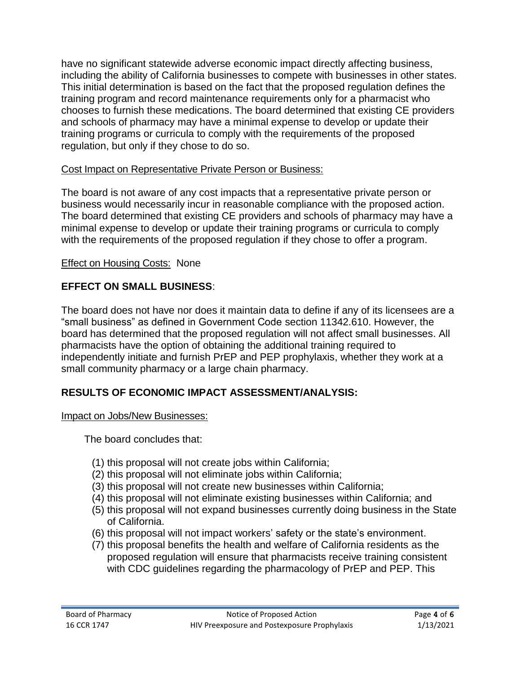have no significant statewide adverse economic impact directly affecting business, including the ability of California businesses to compete with businesses in other states. This initial determination is based on the fact that the proposed regulation defines the training program and record maintenance requirements only for a pharmacist who chooses to furnish these medications. The board determined that existing CE providers and schools of pharmacy may have a minimal expense to develop or update their training programs or curricula to comply with the requirements of the proposed regulation, but only if they chose to do so.

### Cost Impact on Representative Private Person or Business:

The board is not aware of any cost impacts that a representative private person or business would necessarily incur in reasonable compliance with the proposed action. The board determined that existing CE providers and schools of pharmacy may have a minimal expense to develop or update their training programs or curricula to comply with the requirements of the proposed regulation if they chose to offer a program.

### Effect on Housing Costs: None

### **EFFECT ON SMALL BUSINESS**:

The board does not have nor does it maintain data to define if any of its licensees are a "small business" as defined in Government Code section 11342.610. However, the board has determined that the proposed regulation will not affect small businesses. All pharmacists have the option of obtaining the additional training required to independently initiate and furnish PrEP and PEP prophylaxis, whether they work at a small community pharmacy or a large chain pharmacy.

## **RESULTS OF ECONOMIC IMPACT ASSESSMENT/ANALYSIS:**

#### Impact on Jobs/New Businesses:

The board concludes that:

- (1) this proposal will not create jobs within California;
- (2) this proposal will not eliminate jobs within California;
- (3) this proposal will not create new businesses within California;
- (4) this proposal will not eliminate existing businesses within California; and
- (5) this proposal will not expand businesses currently doing business in the State of California.
- (6) this proposal will not impact workers' safety or the state's environment.
- (7) this proposal benefits the health and welfare of California residents as the proposed regulation will ensure that pharmacists receive training consistent with CDC guidelines regarding the pharmacology of PrEP and PEP. This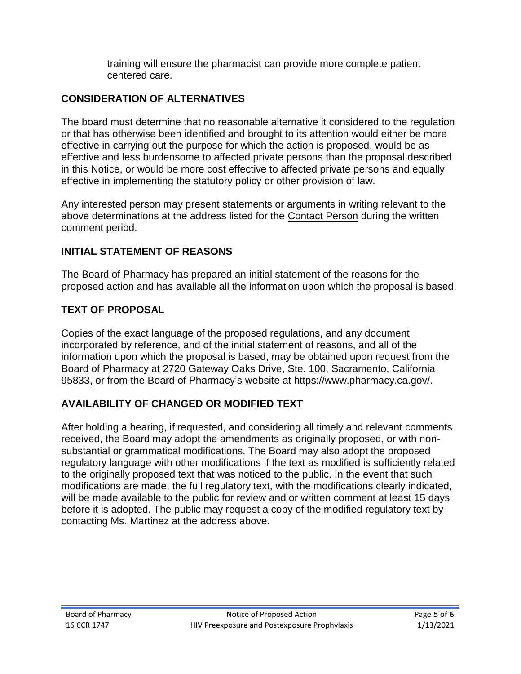training will ensure the pharmacist can provide more complete patient centered care.

## **CONSIDERATION OF ALTERNATIVES**

The board must determine that no reasonable alternative it considered to the regulation or that has otherwise been identified and brought to its attention would either be more effective in carrying out the purpose for which the action is proposed, would be as effective and less burdensome to affected private persons than the proposal described in this Notice, or would be more cost effective to affected private persons and equally effective in implementing the statutory policy or other provision of law.

Any interested person may present statements or arguments in writing relevant to the above determinations at the address listed for the Contact Person during the written comment period.

### **INITIAL STATEMENT OF REASONS**

The Board of Pharmacy has prepared an initial statement of the reasons for the proposed action and has available all the information upon which the proposal is based.

### **TEXT OF PROPOSAL**

Copies of the exact language of the proposed regulations, and any document incorporated by reference, and of the initial statement of reasons, and all of the information upon which the proposal is based, may be obtained upon request from the Board of Pharmacy at 2720 Gateway Oaks Drive, Ste. 100, Sacramento, California 95833, or from the Board of Pharmacy's website at https://www.pharmacy.ca.gov/.

## **AVAILABILITY OF CHANGED OR MODIFIED TEXT**

After holding a hearing, if requested, and considering all timely and relevant comments received, the Board may adopt the amendments as originally proposed, or with nonsubstantial or grammatical modifications. The Board may also adopt the proposed regulatory language with other modifications if the text as modified is sufficiently related to the originally proposed text that was noticed to the public. In the event that such modifications are made, the full regulatory text, with the modifications clearly indicated, will be made available to the public for review and or written comment at least 15 days before it is adopted. The public may request a copy of the modified regulatory text by contacting Ms. Martinez at the address above.